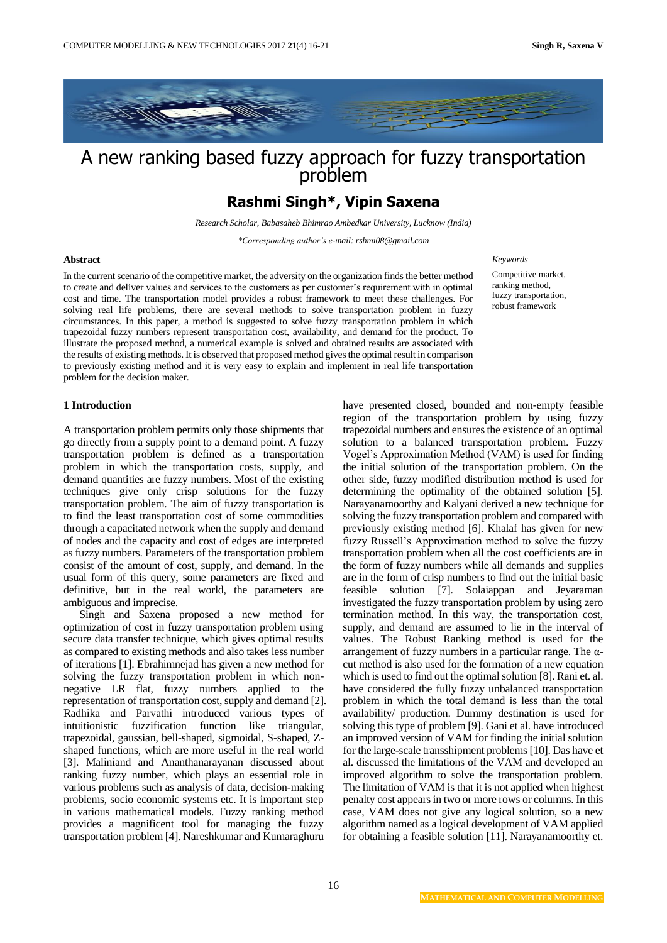

# A new ranking based fuzzy approach for fuzzy transportation problem

## **Rashmi Singh\*, Vipin Saxena**

*Research Scholar, Babasaheb Bhimrao Ambedkar University, Lucknow (India)*

*\*Corresponding author's e-mail: rshmi08@gmail.com*

#### **Abstract**

In the current scenario of the competitive market, the adversity on the organization finds the better method to create and deliver values and services to the customers as per customer's requirement with in optimal cost and time. The transportation model provides a robust framework to meet these challenges. For solving real life problems, there are several methods to solve transportation problem in fuzzy circumstances. In this paper, a method is suggested to solve fuzzy transportation problem in which trapezoidal fuzzy numbers represent transportation cost, availability, and demand for the product. To illustrate the proposed method, a numerical example is solved and obtained results are associated with the results of existing methods. It is observed that proposed method gives the optimal result in comparison to previously existing method and it is very easy to explain and implement in real life transportation problem for the decision maker.

*Keywords*

Competitive market, ranking method, fuzzy transportation, robust framework

### **1 Introduction**

A transportation problem permits only those shipments that go directly from a supply point to a demand point. A fuzzy transportation problem is defined as a transportation problem in which the transportation costs, supply, and demand quantities are fuzzy numbers. Most of the existing techniques give only crisp solutions for the fuzzy transportation problem. The aim of fuzzy transportation is to find the least transportation cost of some commodities through a capacitated network when the supply and demand of nodes and the capacity and cost of edges are interpreted as fuzzy numbers. Parameters of the transportation problem consist of the amount of cost, supply, and demand. In the usual form of this query, some parameters are fixed and definitive, but in the real world, the parameters are ambiguous and imprecise.

Singh and Saxena proposed a new method for optimization of cost in fuzzy transportation problem using secure data transfer technique, which gives optimal results as compared to existing methods and also takes less number of iterations [1]. Ebrahimnejad has given a new method for solving the fuzzy transportation problem in which nonnegative LR flat, fuzzy numbers applied to the representation of transportation cost, supply and demand [2]. Radhika and Parvathi introduced various types of intuitionistic fuzzification function like triangular, trapezoidal, gaussian, bell-shaped, sigmoidal, S-shaped, Zshaped functions, which are more useful in the real world [3]. Maliniand and Ananthanarayanan discussed about ranking fuzzy number, which plays an essential role in various problems such as analysis of data, decision-making problems, socio economic systems etc. It is important step in various mathematical models. Fuzzy ranking method provides a magnificent tool for managing the fuzzy transportation problem [4]. Nareshkumar and Kumaraghuru

have presented closed, bounded and non-empty feasible region of the transportation problem by using fuzzy trapezoidal numbers and ensures the existence of an optimal solution to a balanced transportation problem. Fuzzy Vogel's Approximation Method (VAM) is used for finding the initial solution of the transportation problem. On the other side, fuzzy modified distribution method is used for determining the optimality of the obtained solution [5]. Narayanamoorthy and Kalyani derived a new technique for solving the fuzzy transportation problem and compared with previously existing method [6]. Khalaf has given for new fuzzy Russell's Approximation method to solve the fuzzy transportation problem when all the cost coefficients are in the form of fuzzy numbers while all demands and supplies are in the form of crisp numbers to find out the initial basic feasible solution [7]. Solaiappan and Jeyaraman investigated the fuzzy transportation problem by using zero termination method. In this way, the transportation cost, supply, and demand are assumed to lie in the interval of values. The Robust Ranking method is used for the arrangement of fuzzy numbers in a particular range. The αcut method is also used for the formation of a new equation which is used to find out the optimal solution [8]. Rani et. al. have considered the fully fuzzy unbalanced transportation problem in which the total demand is less than the total availability/ production. Dummy destination is used for solving this type of problem [9]. Gani et al. have introduced an improved version of VAM for finding the initial solution for the large-scale transshipment problems [10]. Das have et al. discussed the limitations of the VAM and developed an improved algorithm to solve the transportation problem. The limitation of VAM is that it is not applied when highest penalty cost appears in two or more rows or columns. In this case, VAM does not give any logical solution, so a new algorithm named as a logical development of VAM applied for obtaining a feasible solution [11]. Narayanamoorthy et.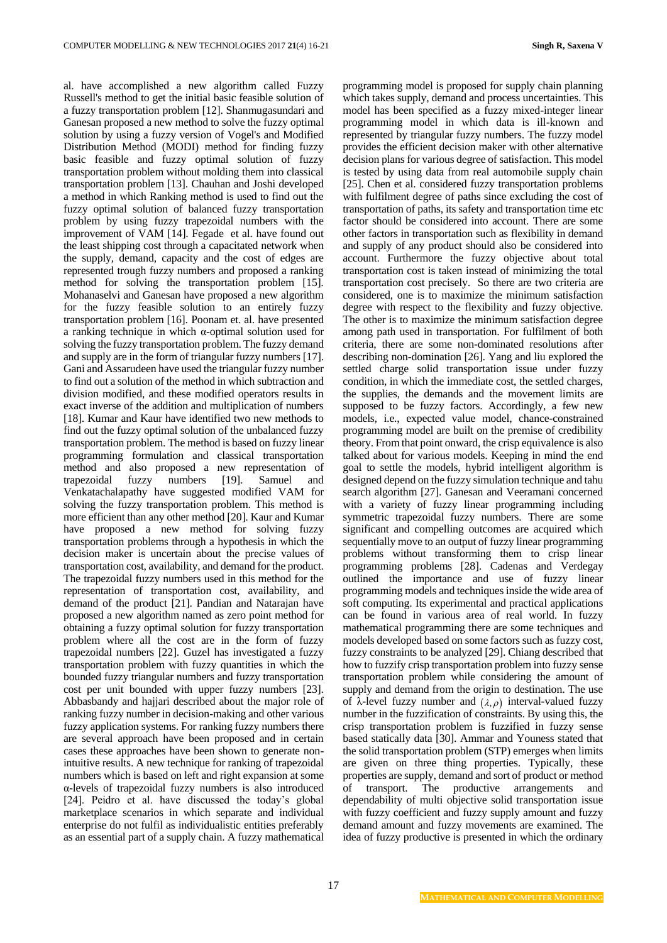al. have accomplished a new algorithm called Fuzzy Russell's method to get the initial basic feasible solution of a fuzzy transportation problem [12]. Shanmugasundari and Ganesan proposed a new method to solve the fuzzy optimal solution by using a fuzzy version of Vogel's and Modified Distribution Method (MODI) method for finding fuzzy basic feasible and fuzzy optimal solution of fuzzy transportation problem without molding them into classical transportation problem [13]. Chauhan and Joshi developed a method in which Ranking method is used to find out the fuzzy optimal solution of balanced fuzzy transportation problem by using fuzzy trapezoidal numbers with the improvement of VAM [14]. Fegade et al. have found out the least shipping cost through a capacitated network when the supply, demand, capacity and the cost of edges are represented trough fuzzy numbers and proposed a ranking method for solving the transportation problem [15]. Mohanaselvi and Ganesan have proposed a new algorithm for the fuzzy feasible solution to an entirely fuzzy transportation problem [16]. Poonam et. al. have presented a ranking technique in which α-optimal solution used for solving the fuzzy transportation problem. The fuzzy demand and supply are in the form of triangular fuzzy numbers [17]. Gani and Assarudeen have used the triangular fuzzy number to find out a solution of the method in which subtraction and division modified, and these modified operators results in exact inverse of the addition and multiplication of numbers [18]. Kumar and Kaur have identified two new methods to find out the fuzzy optimal solution of the unbalanced fuzzy transportation problem. The method is based on fuzzy linear programming formulation and classical transportation method and also proposed a new representation of trapezoidal fuzzy numbers [19]. Samuel and Venkatachalapathy have suggested modified VAM for solving the fuzzy transportation problem. This method is more efficient than any other method [20]. Kaur and Kumar have proposed a new method for solving fuzzy transportation problems through a hypothesis in which the decision maker is uncertain about the precise values of transportation cost, availability, and demand for the product. The trapezoidal fuzzy numbers used in this method for the representation of transportation cost, availability, and demand of the product [21]. Pandian and Natarajan have proposed a new algorithm named as zero point method for obtaining a fuzzy optimal solution for fuzzy transportation problem where all the cost are in the form of fuzzy trapezoidal numbers [22]. Guzel has investigated a fuzzy transportation problem with fuzzy quantities in which the bounded fuzzy triangular numbers and fuzzy transportation cost per unit bounded with upper fuzzy numbers [23]. Abbasbandy and hajjari described about the major role of ranking fuzzy number in decision-making and other various fuzzy application systems. For ranking fuzzy numbers there are several approach have been proposed and in certain cases these approaches have been shown to generate nonintuitive results. A new technique for ranking of trapezoidal numbers which is based on left and right expansion at some α-levels of trapezoidal fuzzy numbers is also introduced [24]. Peidro et al. have discussed the today's global marketplace scenarios in which separate and individual enterprise do not fulfil as individualistic entities preferably as an essential part of a supply chain. A fuzzy mathematical programming model is proposed for supply chain planning which takes supply, demand and process uncertainties. This model has been specified as a fuzzy mixed-integer linear programming model in which data is ill-known and represented by triangular fuzzy numbers. The fuzzy model provides the efficient decision maker with other alternative decision plans for various degree of satisfaction. This model is tested by using data from real automobile supply chain [25]. Chen et al. considered fuzzy transportation problems with fulfilment degree of paths since excluding the cost of transportation of paths, its safety and transportation time etc factor should be considered into account. There are some other factors in transportation such as flexibility in demand and supply of any product should also be considered into account. Furthermore the fuzzy objective about total transportation cost is taken instead of minimizing the total transportation cost precisely. So there are two criteria are considered, one is to maximize the minimum satisfaction degree with respect to the flexibility and fuzzy objective. The other is to maximize the minimum satisfaction degree among path used in transportation. For fulfilment of both criteria, there are some non-dominated resolutions after describing non-domination [26]. Yang and liu explored the settled charge solid transportation issue under fuzzy condition, in which the immediate cost, the settled charges, the supplies, the demands and the movement limits are supposed to be fuzzy factors. Accordingly, a few new models, i.e., expected value model, chance-constrained programming model are built on the premise of credibility theory. From that point onward, the crisp equivalence is also talked about for various models. Keeping in mind the end goal to settle the models, hybrid intelligent algorithm is designed depend on the fuzzy simulation technique and tahu search algorithm [27]. Ganesan and Veeramani concerned with a variety of fuzzy linear programming including symmetric trapezoidal fuzzy numbers. There are some significant and compelling outcomes are acquired which sequentially move to an output of fuzzy linear programming problems without transforming them to crisp linear programming problems [28]. Cadenas and Verdegay outlined the importance and use of fuzzy linear programming models and techniques inside the wide area of soft computing. Its experimental and practical applications can be found in various area of real world. In fuzzy mathematical programming there are some techniques and models developed based on some factors such as fuzzy cost, fuzzy constraints to be analyzed [29]. Chiang described that how to fuzzify crisp transportation problem into fuzzy sense transportation problem while considering the amount of supply and demand from the origin to destination. The use of  $\lambda$ -level fuzzy number and  $(\lambda, \rho)$  interval-valued fuzzy number in the fuzzification of constraints. By using this, the crisp transportation problem is fuzzified in fuzzy sense based statically data [30]. Ammar and Youness stated that the solid transportation problem (STP) emerges when limits are given on three thing properties. Typically, these properties are supply, demand and sort of product or method of transport. The productive arrangements and dependability of multi objective solid transportation issue with fuzzy coefficient and fuzzy supply amount and fuzzy demand amount and fuzzy movements are examined. The idea of fuzzy productive is presented in which the ordinary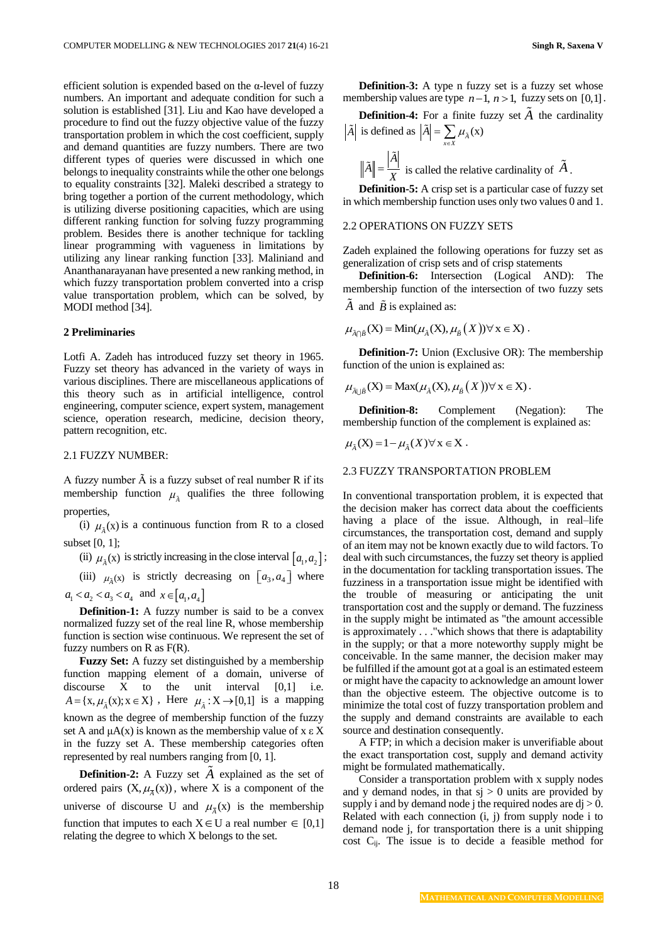efficient solution is expended based on the α-level of fuzzy numbers. An important and adequate condition for such a solution is established [31]. Liu and Kao have developed a procedure to find out the fuzzy objective value of the fuzzy transportation problem in which the cost coefficient, supply and demand quantities are fuzzy numbers. There are two different types of queries were discussed in which one belongs to inequality constraints while the other one belongs to equality constraints [32]. Maleki described a strategy to bring together a portion of the current methodology, which is utilizing diverse positioning capacities, which are using different ranking function for solving fuzzy programming problem. Besides there is another technique for tackling linear programming with vagueness in limitations by utilizing any linear ranking function [33]. Maliniand and Ananthanarayanan have presented a new ranking method, in which fuzzy transportation problem converted into a crisp value transportation problem, which can be solved, by MODI method [34].

#### **2 Preliminaries**

Lotfi A. Zadeh has introduced fuzzy set theory in 1965. Fuzzy set theory has advanced in the variety of ways in various disciplines. There are miscellaneous applications of this theory such as in artificial intelligence, control engineering, computer science, expert system, management science, operation research, medicine, decision theory, pattern recognition, etc.

#### 2.1 FUZZY NUMBER:

A fuzzy number  $\tilde{A}$  is a fuzzy subset of real number R if its membership function  $\mu_{\lambda}$  qualifies the three following properties,

(i)  $\mu_{\tilde{A}}(x)$  is a continuous function from R to a closed subset [0, 1];

(ii)  $\mu_{\tilde{A}}(x)$  is strictly increasing in the close interval  $[a_1, a_2]$ ; (iii)  $\mu_{\lambda}(x)$  is strictly decreasing on  $[a_3, a_4]$  where  $a_1 < a_2 < a_3 < a_4$  and  $x \in [a_1, a_4]$ **Definition-1:** A fuzzy number is said to be a convex

normalized fuzzy set of the real line R, whose membership function is section wise continuous. We represent the set of fuzzy numbers on  $R$  as  $F(R)$ .

**Fuzzy Set:** A fuzzy set distinguished by a membership function mapping element of a domain, universe of discourse X to the unit interval [0,1] i.e.  $A = \{x, \mu_{\tilde{A}}(x); x \in X\}$ , Here  $\mu_{\tilde{A}}: X \to [0,1]$  is a mapping known as the degree of membership function of the fuzzy set A and  $\mu A(x)$  is known as the membership value of x  $\epsilon X$ in the fuzzy set A. These membership categories often represented by real numbers ranging from [0, 1].

**Definition-2:** A Fuzzy set *A* explained as the set of ordered pairs  $(X, \mu_{\overline{A}}(x))$ , where X is a component of the universe of discourse U and  $\mu_{\bar{A}}(x)$  is the membership function that imputes to each  $X \in U$  a real number  $\in [0,1]$ relating the degree to which X belongs to the set.

**Definition-3:** A type n fuzzy set is a fuzzy set whose membership values are type  $n-1$ ,  $n > 1$ , fuzzy sets on [0,1].

**Definition-4:** For a finite fuzzy set *A* the cardinality  $|\tilde{A}|$  is defined as  $|\tilde{A}| = \sum \mu_{\tilde{A}}(x)$ 

$$
\|\tilde{A}\| = \frac{|\tilde{A}|}{X}
$$
 is called the relative cardinality of  $\tilde{A}$ .

**Definition-5:** A crisp set is a particular case of fuzzy set in which membership function uses only two values 0 and 1.

### 2.2 OPERATIONS ON FUZZY SETS

Zadeh explained the following operations for fuzzy set as generalization of crisp sets and of crisp statements

**Definition-6:** Intersection (Logical AND): The membership function of the intersection of two fuzzy sets

A and 
$$
\tilde{B}
$$
 is explained as:

$$
\mu_{\tilde{A} \cap \tilde{B}}(X) = \text{Min}(\mu_{\tilde{A}}(X), \mu_{\tilde{B}}(X)) \forall x \in X \text{ .}
$$

**Definition-7:** Union (Exclusive OR): The membership function of the union is explained as:

$$
\mu_{\lambda \cup \tilde{B}}(X) = \text{Max}(\mu_{\tilde{A}}(X), \mu_{\tilde{B}}(X)) \forall x \in X).
$$

**Definition-8:** Complement (Negation): The membership function of the complement is explained as:

$$
\mu_{\tilde{A}}(X) = 1 - \mu_{\tilde{A}}(X) \forall x \in X.
$$

### 2.3 FUZZY TRANSPORTATION PROBLEM

In conventional transportation problem, it is expected that the decision maker has correct data about the coefficients having a place of the issue. Although, in real–life circumstances, the transportation cost, demand and supply of an item may not be known exactly due to wild factors. To deal with such circumstances, the fuzzy set theory is applied in the documentation for tackling transportation issues. The fuzziness in a transportation issue might be identified with the trouble of measuring or anticipating the unit transportation cost and the supply or demand. The fuzziness in the supply might be intimated as "the amount accessible is approximately . . ."which shows that there is adaptability in the supply; or that a more noteworthy supply might be conceivable. In the same manner, the decision maker may be fulfilled if the amount got at a goal is an estimated esteem or might have the capacity to acknowledge an amount lower than the objective esteem. The objective outcome is to minimize the total cost of fuzzy transportation problem and the supply and demand constraints are available to each source and destination consequently.

A FTP; in which a decision maker is unverifiable about the exact transportation cost, supply and demand activity might be formulated mathematically.

Consider a transportation problem with x supply nodes and y demand nodes, in that  $si > 0$  units are provided by supply i and by demand node j the required nodes are  $di > 0$ . Related with each connection (i, j) from supply node i to demand node j, for transportation there is a unit shipping cost  $C_{ij}$ . The issue is to decide a feasible method for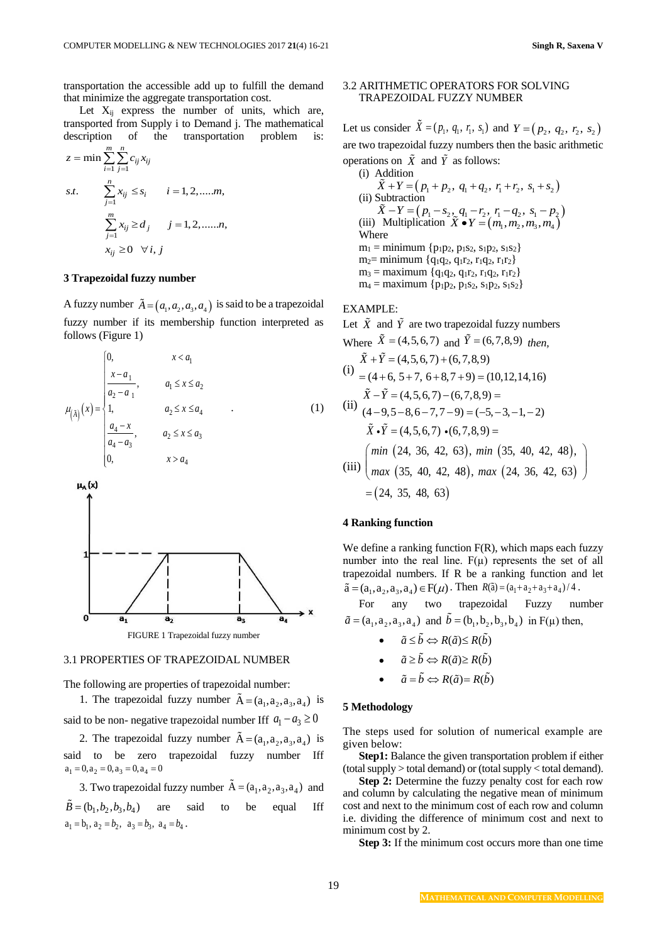transportation the accessible add up to fulfill the demand that minimize the aggregate transportation cost.

Let  $X_{ij}$  express the number of units, which are, transported from Supply i to Demand j. The mathematical

description of the transportation problem is:  
\n
$$
z = \min \sum_{i=1}^{m} \sum_{j=1}^{n} c_{ij} x_{ij}
$$
\ns.t. 
$$
\sum_{j=1}^{n} x_{ij} \le s_i \qquad i = 1, 2, \dots, m,
$$
\n
$$
\sum_{j=1}^{m} x_{ij} \ge d_j \qquad j = 1, 2, \dots, n,
$$
\n
$$
x_{ij} \ge 0 \quad \forall i, j
$$

### **3 Trapezoidal fuzzy number**

*m n*

A fuzzy number  $\tilde{A} = (a_1, a_2, a_3, a_4)$  is said to be a trapezoidal fuzzy number if its membership function interpreted as follows (Figure 1)

$$
\mu_{\left(\tilde{A}\right)}(x) = \begin{cases}\n0, & x < a_1 \\
\frac{x - a_1}{a_2 - a_1}, & a_1 \le x \le a_2 \\
1, & a_2 \le x \le a_4 \\
\frac{a_4 - x}{a_4 - a_3}, & a_2 \le x \le a_3 \\
0, & x > a_4\n\end{cases}
$$
\n(1)



#### 3.1 PROPERTIES OF TRAPEZOIDAL NUMBER

The following are properties of trapezoidal number:

1. The trapezoidal fuzzy number  $\tilde{A} = (a_1, a_2, a_3, a_4)$  is said to be non- negative trapezoidal number Iff  $a_1 - a_3 \ge 0$ 

2. The trapezoidal fuzzy number  $\tilde{A} = (a_1, a_2, a_3, a_4)$  is said to be zero trapezoidal fuzzy number Iff  $a_1 = 0$ ,  $a_2 = 0$ ,  $a_3 = 0$ ,  $a_4 = 0$ 

3. Two trapezoidal fuzzy number  $A = (a_1, a_2, a_3, a_4)$  and  $B = (b_1, b_2, b_3, b_4)$  are said to be equal Iff  $a_1 = b_1$ ,  $a_2 = b_2$ ,  $a_3 = b_3$ ,  $a_4 = b_4$ .

### 3.2 ARITHMETIC OPERATORS FOR SOLVING TRAPEZOIDAL FUZZY NUMBER

Let us consider  $\bar{X} = (p_1, q_1, r_1, s_1)$  and  $Y = (p_2, q_2, r_2, s_2)$ are two trapezoidal fuzzy numbers then the basic arithmetic operations on  $\overline{X}$  and  $\overline{Y}$  as follows: (i) Addition

(i) Addition  
\n
$$
\tilde{X} + Y = (p_1 + p_2, q_1 + q_2, r_1 + r_2, s_1 + s_2)
$$
  
\n(ii) Subtraction  
\n $\tilde{X} - Y = (p_1 - s_2, q_1 - r_2, r_1 - q_2, s_1 - p_2)$   
\n(iii) Multiplication  $\tilde{X} \cdot Y = (m_1, m_2, m_3, m_4)$   
\nWhere  
\n $m_1 = \text{minimum } \{p_1p_2, p_1s_2, s_1p_2, s_1s_2\}$   
\n $m_2 = \text{minimum } \{q_1q_2, q_1r_2, r_1q_2, r_1r_2\}$   
\n $m_3 = \text{maximum } \{p_1p_2, p_1s_2, s_1p_2, s_1s_2\}$ 

### EXAMPLE:

Let  $\tilde{X}$  and  $\tilde{Y}$  are two trapezoidal fuzzy numbers

Where 
$$
\tilde{X} = (4,5,6,7)
$$
 and  $\tilde{Y} = (6,7,8,9)$  then,  
\n $\tilde{X} + \tilde{Y} = (4,5,6,7) + (6,7,8,9)$   
\n(i) =  $(4+6, 5+7, 6+8, 7+9) = (10,12,14,16)$   
\n(ii)  $\tilde{X} - \tilde{Y} = (4,5,6,7) - (6,7,8,9) =$   
\n(iii)  $(4-9,5-8,6-7,7-9) = (-5,-3,-1,-2)$   
\n $\tilde{X} \cdot \tilde{Y} = (4,5,6,7) \cdot (6,7,8,9) =$   
\n(iii)  $\begin{pmatrix} min (24, 36, 42, 63), min (35, 40, 42, 48), \\ max (35, 40, 42, 48), max (24, 36, 42, 63) \end{pmatrix} = (24, 35, 48, 63)$ 

### **4 Ranking function**

We define a ranking function  $F(R)$ , which maps each fuzzy number into the real line.  $F(\mu)$  represents the set of all trapezoidal numbers. If R be a ranking function and let  $\tilde{a} = (a_1, a_2, a_3, a_4) \in F(\mu)$ . Then  $R(\tilde{a}) = (a_1 + a_2 + a_3 + a_4)/4$ .

For any two trapezoidal Fuzzy number  $\tilde{a} = (a_1, a_2, a_3, a_4)$  and  $b = (b_1, b_2, b_3, b_4)$  in F( $\mu$ ) then,

- $\tilde{a} \leq \tilde{b} \Leftrightarrow R(\tilde{a}) \leq R(\tilde{b})$
- $\tilde{a} \ge \tilde{b} \Leftrightarrow R(\tilde{a}) \ge R(\tilde{b})$
- $\tilde{a} = \tilde{b} \Leftrightarrow R(\tilde{a}) = R(\tilde{b})$

#### **5 Methodology**

The steps used for solution of numerical example are given below:

**Step1:** Balance the given transportation problem if either (total supply > total demand) or (total supply < total demand).

**Step 2:** Determine the fuzzy penalty cost for each row and column by calculating the negative mean of minimum cost and next to the minimum cost of each row and column i.e. dividing the difference of minimum cost and next to minimum cost by 2.

**Step 3:** If the minimum cost occurs more than one time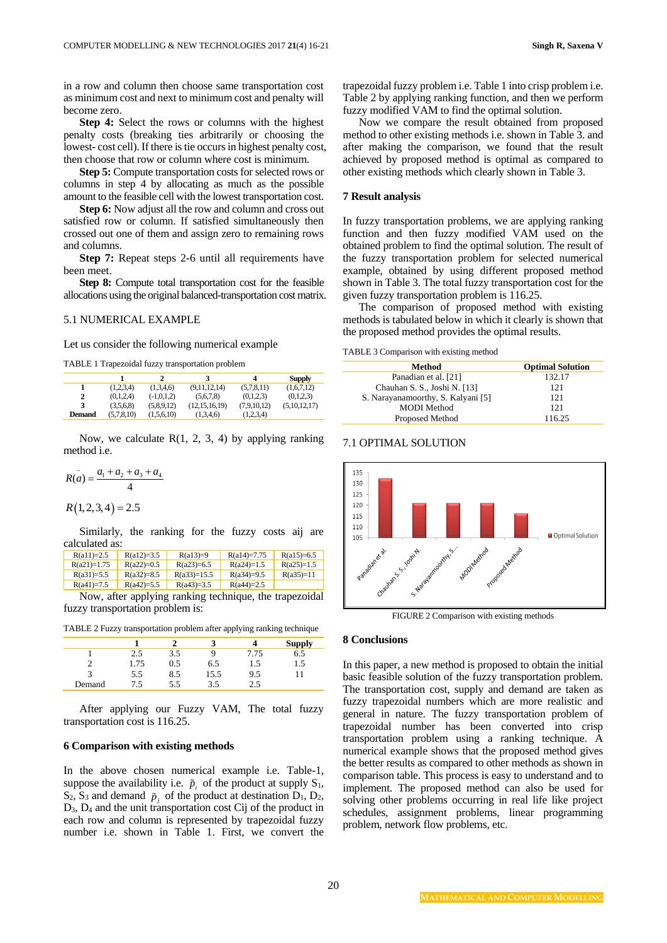in a row and column then choose same transportation cost as minimum cost and next to minimum cost and penalty will become zero.

**Step 4:** Select the rows or columns with the highest penalty costs (breaking ties arbitrarily or choosing the lowest- cost cell). If there is tie occurs in highest penalty cost, then choose that row or column where cost is minimum.

**Step 5:** Compute transportation costs for selected rows or columns in step 4 by allocating as much as the possible amount to the feasible cell with the lowest transportation cost.

**Step 6:** Now adjust all the row and column and cross out satisfied row or column. If satisfied simultaneously then crossed out one of them and assign zero to remaining rows and columns.

**Step 7:** Repeat steps 2-6 until all requirements have been meet.

**Step 8:** Compute total transportation cost for the feasible allocations using the original balanced-transportation cost matrix.

#### 5.1 NUMERICAL EXAMPLE

Let us consider the following numerical example

TABLE 1 Trapezoidal fuzzy transportation problem

|               |            |              |               | 4           | <b>Supply</b> |
|---------------|------------|--------------|---------------|-------------|---------------|
|               | (1,2,3,4)  | (1.3.4.6)    | (9.11.12.14)  | (5,7,8,11)  | (1,6,7,12)    |
| 2             | (0.1.2.4)  | $(-1.0.1.2)$ | (5.6.7.8)     | (0.1.2.3)   | (0.1.2.3)     |
| 3             | (3.5.6.8)  | (5.8.9.12)   | (12,15,16,19) | (7.9.10.12) | (5.10.12.17)  |
| <b>Demand</b> | (5.7.8.10) | (1.5.6.10)   | (1,3,4,6)     | (1,2,3,4)   |               |

Now, we calculate  $R(1, 2, 3, 4)$  by applying ranking method i.e.

$$
R(\bar{a}) = \frac{a_1 + a_2 + a_3 + a_4}{4}
$$
  

$$
R(1,2,3,4) = 2.5
$$

Similarly, the ranking for the fuzzy costs aij are calculated as:

| $R(a11)=2.5$  | $R(a12)=3.5$ | $R(a13)=9$    | $R(a14)=7.75$ | $R(a15)=6.5$ |
|---------------|--------------|---------------|---------------|--------------|
| $R(a21)=1.75$ | $R(a22)=0.5$ | $R(a23)=6.5$  | $R(a24)=1.5$  | $R(a25)=1.5$ |
| $R(a31)=5.5$  | $R(a32)=8.5$ | $R(a33)=15.5$ | $R(a34)=9.5$  | $R(a35)=11$  |
| $R(a41)=7.5$  | $R(a42)=5.5$ | $R(a43)=3.5$  | $R(a44)=2.5$  |              |

Now, after applying ranking technique, the trapezoidal fuzzy transportation problem is:

TABLE 2 Fuzzy transportation problem after applying ranking technique

|        |      |     |      |      | <b>Supply</b> |
|--------|------|-----|------|------|---------------|
|        | 2.5  | 3.5 |      | 7.75 | 6.5           |
|        | 1.75 | 0.5 | 6.5  | 1.5  | 1.5           |
|        | 5.5  | 8.5 | 15.5 | 9.5  |               |
| Demand | 15   | 5.5 | 3.5  | ን ና  |               |

After applying our Fuzzy VAM, The total fuzzy transportation cost is 116.25.

### **6 Comparison with existing methods**

In the above chosen numerical example i.e. Table-1, suppose the availability i.e.  $\tilde{p}_i$  of the product at supply  $S_1$ ,  $S_2$ ,  $S_3$  and demand  $\tilde{p}_j$  of the product at destination  $D_1$ ,  $D_2$ , D3, D<sup>4</sup> and the unit transportation cost Cij of the product in each row and column is represented by trapezoidal fuzzy number i.e. shown in Table 1. First, we convert the trapezoidal fuzzy problem i.e. Table 1 into crisp problem i.e. Table 2 by applying ranking function, and then we perform fuzzy modified VAM to find the optimal solution.

Now we compare the result obtained from proposed method to other existing methods i.e. shown in Table 3. and after making the comparison, we found that the result achieved by proposed method is optimal as compared to other existing methods which clearly shown in Table 3.

#### **7 Result analysis**

In fuzzy transportation problems, we are applying ranking function and then fuzzy modified VAM used on the obtained problem to find the optimal solution. The result of the fuzzy transportation problem for selected numerical example, obtained by using different proposed method shown in Table 3. The total fuzzy transportation cost for the given fuzzy transportation problem is 116.25.

The comparison of proposed method with existing methods is tabulated below in which it clearly is shown that the proposed method provides the optimal results.

TABLE 3 Comparison with existing method

| Method                             | <b>Optimal Solution</b> |
|------------------------------------|-------------------------|
| Panadian et al. [21]               | 132.17                  |
| Chauhan S. S., Joshi N. [13]       | 121                     |
| S. Narayanamoorthy, S. Kalyani [5] | 121                     |
| <b>MODI</b> Method                 | 121                     |
| Proposed Method                    | 116.25                  |
|                                    |                         |

#### 7.1 OPTIMAL SOLUTION



FIGURE 2 Comparison with existing methods

#### **8 Conclusions**

In this paper, a new method is proposed to obtain the initial basic feasible solution of the fuzzy transportation problem. The transportation cost, supply and demand are taken as fuzzy trapezoidal numbers which are more realistic and general in nature. The fuzzy transportation problem of trapezoidal number has been converted into crisp transportation problem using a ranking technique. A numerical example shows that the proposed method gives the better results as compared to other methods as shown in comparison table. This process is easy to understand and to implement. The proposed method can also be used for solving other problems occurring in real life like project schedules, assignment problems, linear programming problem, network flow problems, etc.